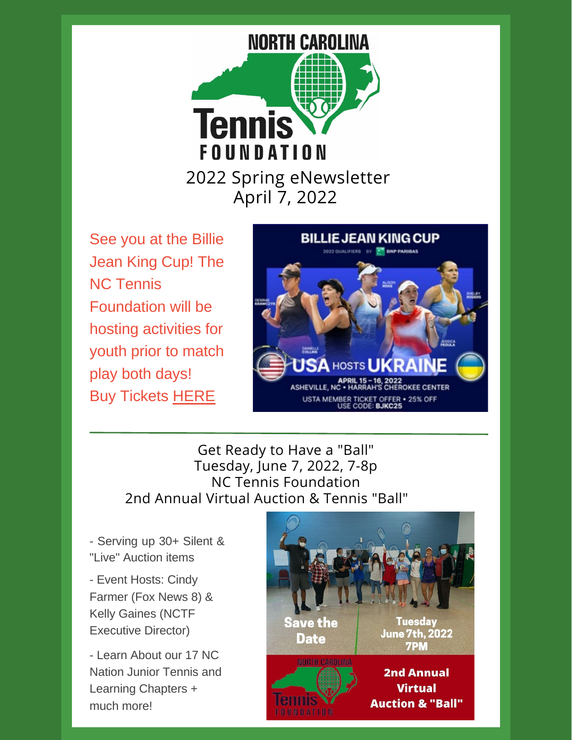

See you at the Billie Jean King Cup! The NC Tennis Foundation will be hosting activities for youth prior to match play both days! Buy Tickets [HERE](https://www.ticketmaster.com/billie-jean-king-cup-tickets/artist/2823005?venueId=368913)



#### Get Ready to Have a "Ball" Tuesday, June 7, 2022, 7-8p NC Tennis Foundation 2nd Annual Virtual Auction & Tennis "Ball"

- Serving up 30+ Silent & "Live" Auction items

- Event Hosts: Cindy Farmer (Fox News 8) & Kelly Gaines (NCTF Executive Director)

- Learn About our 17 NC Nation Junior Tennis and Learning Chapters + much more!

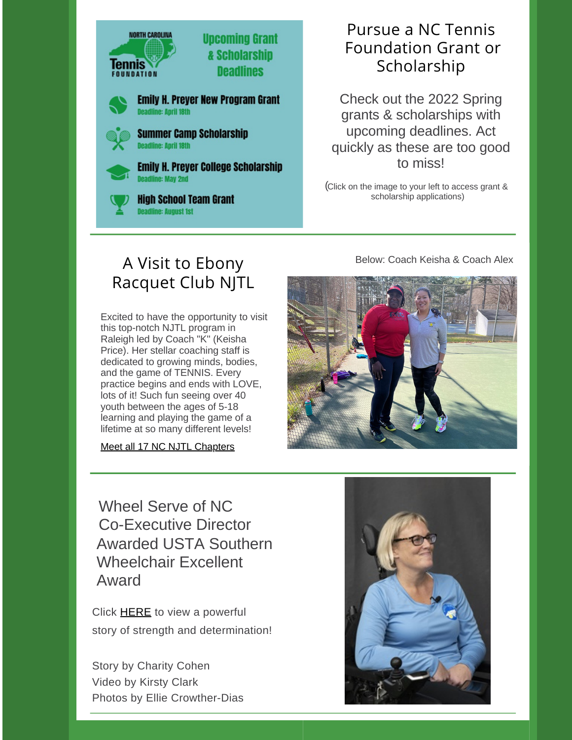

### Pursue a NC Tennis Foundation Grant or Scholarship

Check out the 2022 Spring grants & scholarships with upcoming deadlines. Act quickly as these are too good to miss!

( Click on the image to your left to access grant & scholarship applications)

Below: Coach Keis[ha](https://www.raleightennis.com/post/keisha-price) & Coach Alex

## A Visit to Ebony Racquet Club NJTL

Excited to have the opportunity to visit this top-notch NJTL program in Raleigh led by Coach "K" (Keisha Price). Her stellar coaching staff is dedicated to growing minds, bodies, and the game of TENNIS. Every practice begins and ends with LOVE, lots of it! Such fun seeing over 40 youth between the ages of 5-18 learning and playing the game of a lifetime at so many different levels!

Meet all 17 NC NJTL [Chapters](https://www.nctennisfoundation.com/_files/ugd/36be4c_8f9b1fa9de3343e9be27662079d79e8c.pdf)



Wheel Serve of NC Co-Executive Director Awarded USTA Southern Wheelchair Excellent Award

Click [HERE](http://mediahub.unc.edu/wheel-serve-nc-hitting-the-play-button-on-life/) to view a powerful story of strength and determination!

Story by Charity Cohen Video by Kirsty Clark Photos by Ellie Crowther-Dias